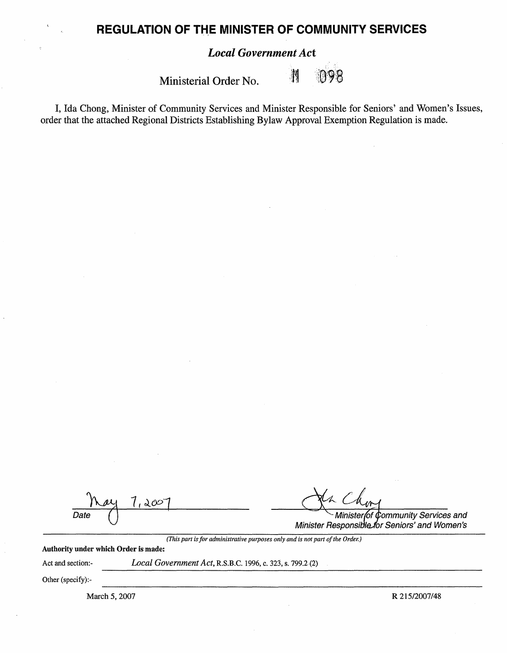## **REGULATION OF THE MINISTER OF COMMUNITY SERVICES**

## *Local Government Act*

Ministerial Order No.

 $\begin{matrix} \mathbf{N} \end{matrix}$ ାତ8

I, Ida Chong, Minister of Community Services and Minister Responsible for Seniors' and Women's Issues, order that the attached Regional Districts Establishing Bylaw Approval Exemption Regulation is made.

| Date                                        | 200                                                       | Minister of Community Services and<br>Minister Responsible for Seniors' and Women's |
|---------------------------------------------|-----------------------------------------------------------|-------------------------------------------------------------------------------------|
| <b>Authority under which Order is made:</b> |                                                           | (This part is for administrative purposes only and is not part of the Order.)       |
| Act and section:-                           | Local Government Act, R.S.B.C. 1996, c. 323, s. 799.2 (2) |                                                                                     |
| Other (specify):-                           |                                                           |                                                                                     |
| March 5, 2007                               |                                                           | R 215/2007/48                                                                       |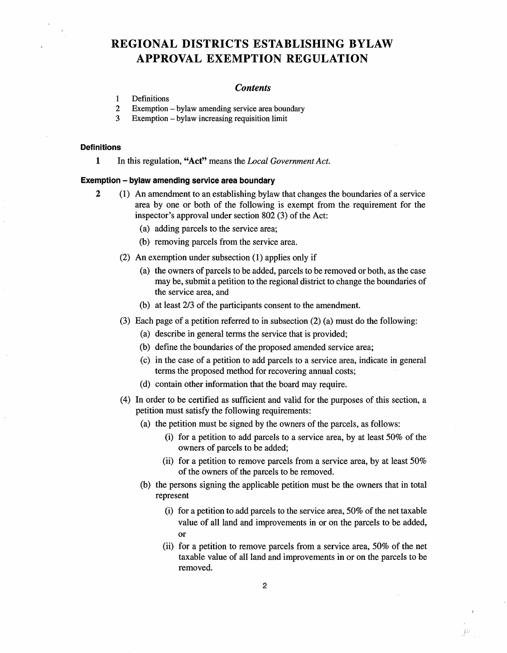# **REGIONAL DISTRICTS ESTABLISHING BYLAW APPROVAL EXEMPTION REGULATION**

#### *Contents*

- 1 Definitions
- 2 Exemption bylaw amending service area boundary
- 3 Exemption bylaw increasing requisition limit

#### **Definitions**

**1** In this regulation, "Act" means the *Local Government Act*.

#### **Exemption** - **bylaw amending service area boundary**

- **2** (1) An amendment to an establishing bylaw that changes the boundaries of a service area by one or both of the following is exempt from the requirement for the inspector's approval under section 802 (3) of the Act:
	- (a) adding parcels to the service area;
	- (b) removing parcels from the service area.
	- (2) An exemption under subsection (1) applies only if
		- (a) the owners of parcels to be added, parcels to be removed or both, as the case may be, submit a petition to the regional district to change the boundaries of the service area, and
		- (b) at least 2/3 of the participants consent to the amendment.
	- (3) Each page of a petition referred to in subsection (2) (a) must do the following:
		- (a) describe in general terms the service that is provided;
		- (b) define the boundaries of the proposed amended service area;
		- (c) in the case of a petition to add parcels to a service area, indicate in general terms the proposed method for recovering annual costs;
		- (d) contain other information that the board may require.
	- ( 4) In order to be certified as sufficient and valid for the purposes of this section, a petition must satisfy the following requirements:
		- (a) the petition must be signed by the owners of the parcels, as follows:
			- (i) for a petition to add parcels to a service area, by at least 50% of the owners of parcels to be added;
			- (ii) for a petition to remove parcels from a service area, by at least 50% of the owners of the parcels to be removed.
		- (b) the persons signing the applicable petition must be the owners that in total represent
			- (i) for a petition to add parcels to the service area, 50% of the net taxable value of all land and improvements in or on the parcels to be added, or
			- (ii) for a petition to remove parcels from a service area, 50% of the net taxable value of all land and improvements in or on the parcels to be removed.